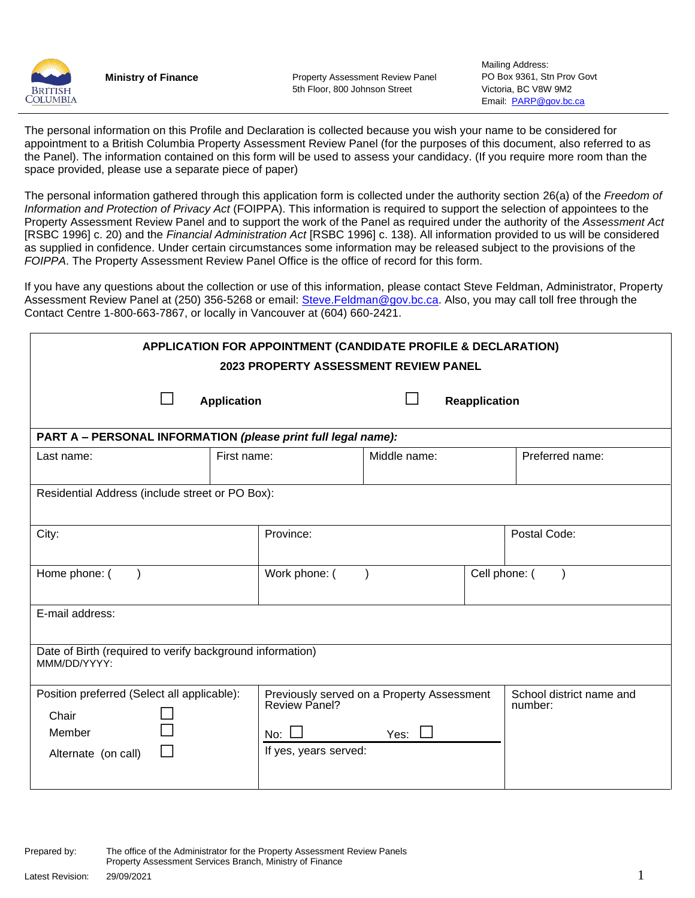

**Ministry of Finance Property Assessment Review Panel** 5th Floor, 800 Johnson Street

Mailing Address: PO Box 9361, Stn Prov Govt Victoria, BC V8W 9M2 Email: [PARP@gov.bc.ca](mailto:PARP@gov.bc.ca)

The personal information on this Profile and Declaration is collected because you wish your name to be considered for appointment to a British Columbia Property Assessment Review Panel (for the purposes of this document, also referred to as the Panel). The information contained on this form will be used to assess your candidacy. (If you require more room than the space provided, please use a separate piece of paper)

The personal information gathered through this application form is collected under the authority section 26(a) of the *Freedom of Information and Protection of Privacy Act* (FOIPPA). This information is required to support the selection of appointees to the Property Assessment Review Panel and to support the work of the Panel as required under the authority of the *Assessment Act*  [RSBC 1996] c. 20) and the *Financial Administration Act* [RSBC 1996] c. 138). All information provided to us will be considered as supplied in confidence. Under certain circumstances some information may be released subject to the provisions of the *FOIPPA*. The Property Assessment Review Panel Office is the office of record for this form.

If you have any questions about the collection or use of this information, please contact Steve Feldman, Administrator, Property Assessment Review Panel at (250) 356-5268 or email: [Steve.Feldman@gov.bc.ca.](mailto:Steve.Feldman@gov.bc.ca) Also, you may call toll free through the Contact Centre 1-800-663-7867, or locally in Vancouver at (604) 660-2421.

| <b>APPLICATION FOR APPOINTMENT (CANDIDATE PROFILE &amp; DECLARATION)</b><br><b>2023 PROPERTY ASSESSMENT REVIEW PANEL</b>                                                                                |             |                          |  |                 |
|---------------------------------------------------------------------------------------------------------------------------------------------------------------------------------------------------------|-------------|--------------------------|--|-----------------|
| <b>Application</b><br><b>Reapplication</b>                                                                                                                                                              |             |                          |  |                 |
| PART A - PERSONAL INFORMATION (please print full legal name):                                                                                                                                           |             |                          |  |                 |
| Last name:                                                                                                                                                                                              | First name: | Middle name:             |  | Preferred name: |
| Residential Address (include street or PO Box):                                                                                                                                                         |             |                          |  |                 |
| City:                                                                                                                                                                                                   | Province:   |                          |  | Postal Code:    |
| Cell phone: (<br>Home phone: (<br>Work phone: (                                                                                                                                                         |             |                          |  |                 |
| E-mail address:                                                                                                                                                                                         |             |                          |  |                 |
| Date of Birth (required to verify background information)<br>MMM/DD/YYYY:                                                                                                                               |             |                          |  |                 |
| Previously served on a Property Assessment<br>Review Panel?<br>Position preferred (Select all applicable):<br>number:<br>Chair<br>Member<br>Yes:<br>No:<br>If yes, years served:<br>Alternate (on call) |             | School district name and |  |                 |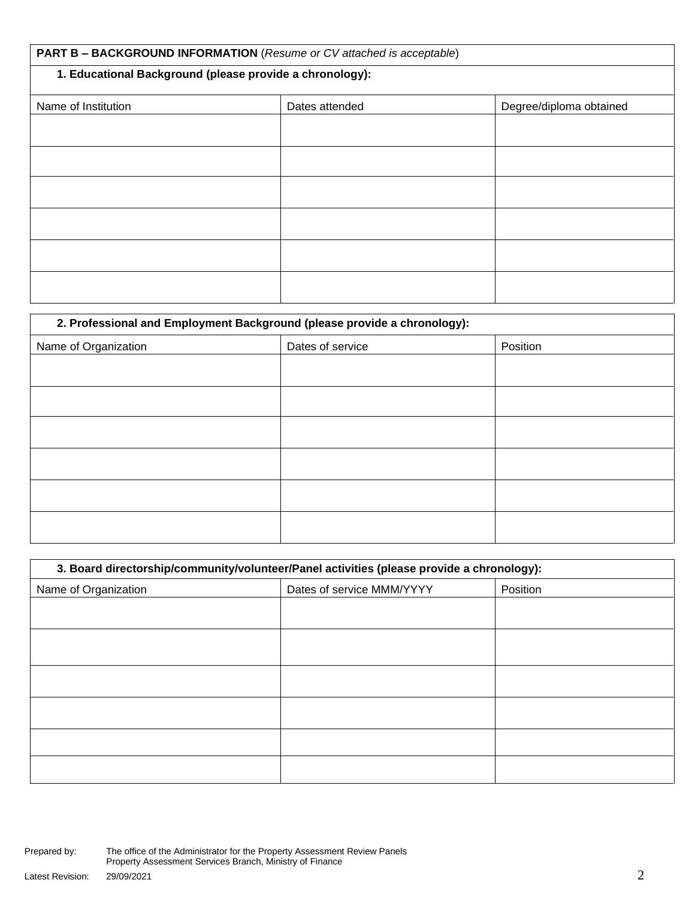| PART B - BACKGROUND INFORMATION (Resume or CV attached is acceptable) |                |                         |  |  |
|-----------------------------------------------------------------------|----------------|-------------------------|--|--|
| 1. Educational Background (please provide a chronology):              |                |                         |  |  |
|                                                                       |                |                         |  |  |
| Name of Institution                                                   | Dates attended | Degree/diploma obtained |  |  |
|                                                                       |                |                         |  |  |
|                                                                       |                |                         |  |  |
|                                                                       |                |                         |  |  |
|                                                                       |                |                         |  |  |
|                                                                       |                |                         |  |  |
|                                                                       |                |                         |  |  |
|                                                                       |                |                         |  |  |
|                                                                       |                |                         |  |  |
|                                                                       |                |                         |  |  |
|                                                                       |                |                         |  |  |
|                                                                       |                |                         |  |  |
|                                                                       |                |                         |  |  |

| 2. Professional and Employment Background (please provide a chronology): |                  |          |  |
|--------------------------------------------------------------------------|------------------|----------|--|
| Name of Organization                                                     | Dates of service | Position |  |
|                                                                          |                  |          |  |
|                                                                          |                  |          |  |
|                                                                          |                  |          |  |
|                                                                          |                  |          |  |
|                                                                          |                  |          |  |
|                                                                          |                  |          |  |

| 3. Board directorship/community/volunteer/Panel activities (please provide a chronology): |                           |          |  |
|-------------------------------------------------------------------------------------------|---------------------------|----------|--|
| Name of Organization                                                                      | Dates of service MMM/YYYY | Position |  |
|                                                                                           |                           |          |  |
|                                                                                           |                           |          |  |
|                                                                                           |                           |          |  |
|                                                                                           |                           |          |  |
|                                                                                           |                           |          |  |
|                                                                                           |                           |          |  |
|                                                                                           |                           |          |  |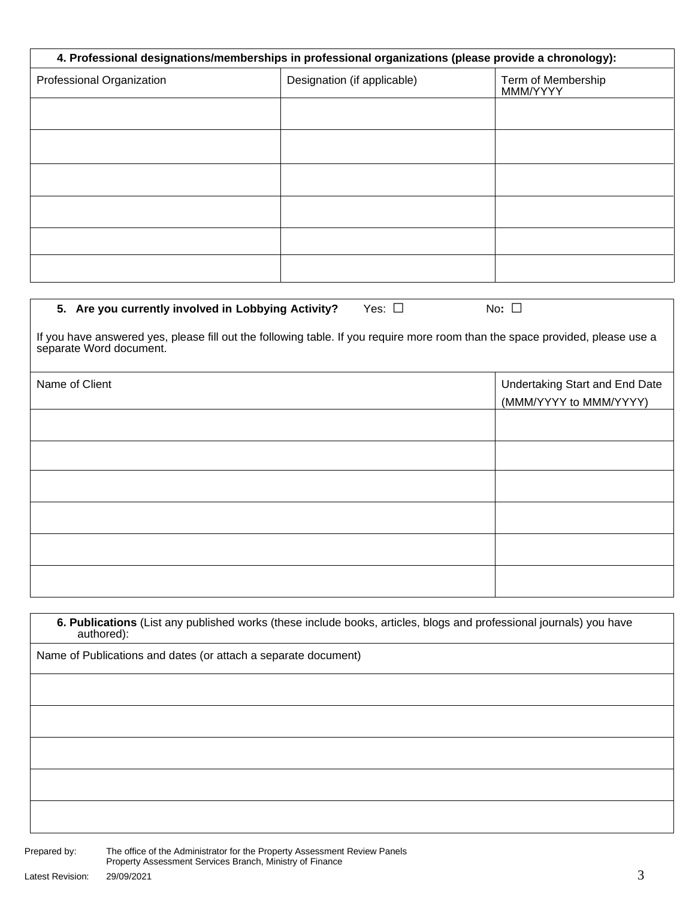| 4. Professional designations/memberships in professional organizations (please provide a chronology): |                             |                                |  |
|-------------------------------------------------------------------------------------------------------|-----------------------------|--------------------------------|--|
| Professional Organization                                                                             | Designation (if applicable) | Term of Membership<br>MMM/YYYY |  |
|                                                                                                       |                             |                                |  |
|                                                                                                       |                             |                                |  |
|                                                                                                       |                             |                                |  |
|                                                                                                       |                             |                                |  |
|                                                                                                       |                             |                                |  |
|                                                                                                       |                             |                                |  |

## **5.** Are you currently involved in Lobbying Activity? Yes: □ No: □

If you have answered yes, please fill out the following table. If you require more room than the space provided, please use a separate Word document.

| Name of Client | Undertaking Start and End Date<br>(MMM/YYYY to MMM/YYYY) |
|----------------|----------------------------------------------------------|
|                |                                                          |
|                |                                                          |
|                |                                                          |
|                |                                                          |
|                |                                                          |
|                |                                                          |

**6. Publications** (List any published works (these include books, articles, blogs and professional journals) you have authored):

Name of Publications and dates (or attach a separate document)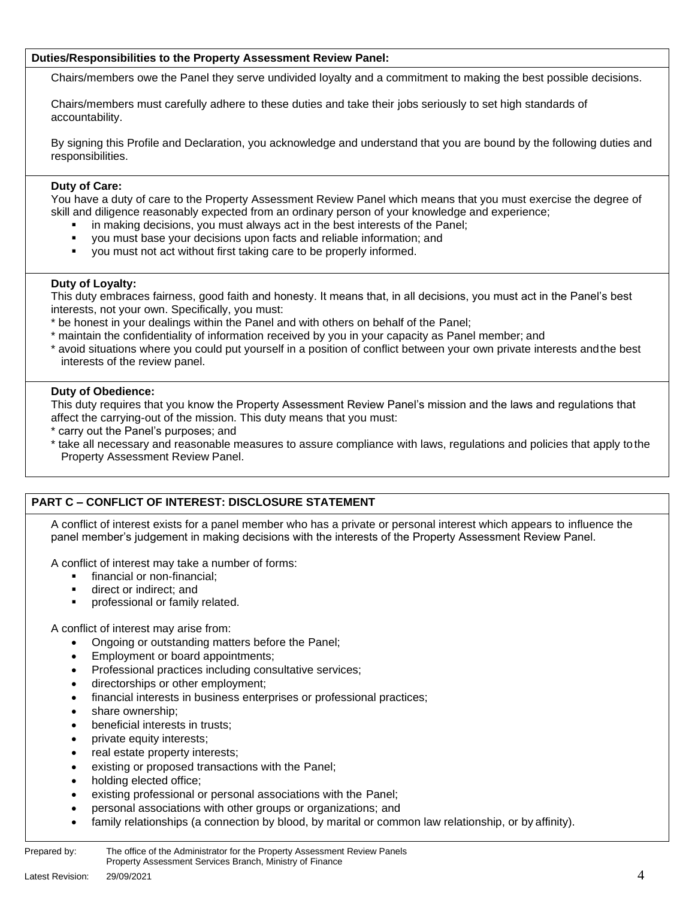## **Duties/Responsibilities to the Property Assessment Review Panel:**

Chairs/members owe the Panel they serve undivided loyalty and a commitment to making the best possible decisions.

Chairs/members must carefully adhere to these duties and take their jobs seriously to set high standards of accountability.

By signing this Profile and Declaration, you acknowledge and understand that you are bound by the following duties and responsibilities.

## **Duty of Care:**

You have a duty of care to the Property Assessment Review Panel which means that you must exercise the degree of skill and diligence reasonably expected from an ordinary person of your knowledge and experience;

- in making decisions, you must always act in the best interests of the Panel;
- you must base your decisions upon facts and reliable information; and
- you must not act without first taking care to be properly informed.

#### **Duty of Loyalty:**

This duty embraces fairness, good faith and honesty. It means that, in all decisions, you must act in the Panel's best interests, not your own. Specifically, you must:

- \* be honest in your dealings within the Panel and with others on behalf of the Panel;
- \* maintain the confidentiality of information received by you in your capacity as Panel member; and
- \* avoid situations where you could put yourself in a position of conflict between your own private interests andthe best interests of the review panel.

### **Duty of Obedience:**

This duty requires that you know the Property Assessment Review Panel's mission and the laws and regulations that affect the carrying-out of the mission. This duty means that you must:

- carry out the Panel's purposes; and
- \* take all necessary and reasonable measures to assure compliance with laws, regulations and policies that apply tothe Property Assessment Review Panel.

# **PART C – CONFLICT OF INTEREST: DISCLOSURE STATEMENT**

A conflict of interest exists for a panel member who has a private or personal interest which appears to influence the panel member's judgement in making decisions with the interests of the Property Assessment Review Panel.

A conflict of interest may take a number of forms:

- **·** financial or non-financial:
- direct or indirect; and
- professional or family related.

A conflict of interest may arise from:

- Ongoing or outstanding matters before the Panel;
- Employment or board appointments;
- Professional practices including consultative services;
- directorships or other employment;
- financial interests in business enterprises or professional practices;
- share ownership;
- beneficial interests in trusts;
- private equity interests;
- real estate property interests;
- existing or proposed transactions with the Panel;
- holding elected office;
- existing professional or personal associations with the Panel;
- personal associations with other groups or organizations; and
- family relationships (a connection by blood, by marital or common law relationship, or by affinity).

Prepared by: The office of the Administrator for the Property Assessment Review Panels Property Assessment Services Branch, Ministry of Finance

Latest Revision:  $29/09/2021$   $4$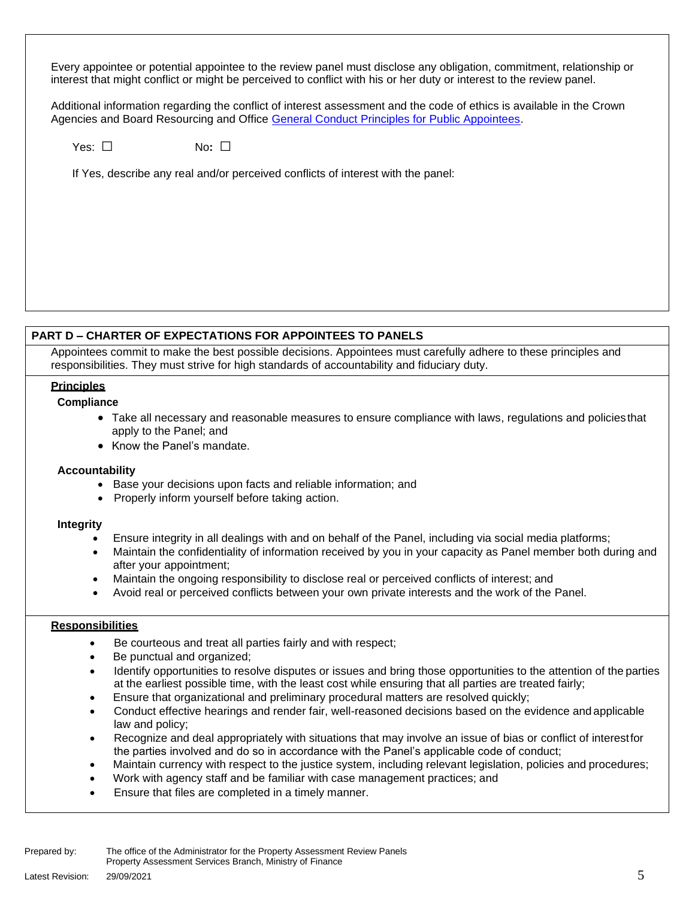Every appointee or potential appointee to the review panel must disclose any obligation, commitment, relationship or interest that might conflict or might be perceived to conflict with his or her duty or interest to the review panel.

Additional information regarding the conflict of interest assessment and the code of ethics is available in the Crown Agencies and Board Resourcing and Office [General Conduct Principles for Public Appointees.](https://www2.gov.bc.ca/gov/content/bcpublicsectorboardapplications/learn/board-member-information)

Yes: **□** No**: □**

If Yes, describe any real and/or perceived conflicts of interest with the panel:

# **PART D – CHARTER OF EXPECTATIONS FOR APPOINTEES TO PANELS**

Appointees commit to make the best possible decisions. Appointees must carefully adhere to these principles and responsibilities. They must strive for high standards of accountability and fiduciary duty.

## **Principles**

**Compliance**

- Take all necessary and reasonable measures to ensure compliance with laws, regulations and policiesthat apply to the Panel; and
- Know the Panel's mandate.

## **Accountability**

- Base your decisions upon facts and reliable information; and
- Properly inform yourself before taking action.

## **Integrity**

- Ensure integrity in all dealings with and on behalf of the Panel, including via social media platforms;
- Maintain the confidentiality of information received by you in your capacity as Panel member both during and after your appointment;
- Maintain the ongoing responsibility to disclose real or perceived conflicts of interest; and
- Avoid real or perceived conflicts between your own private interests and the work of the Panel.

## **Responsibilities**

- Be courteous and treat all parties fairly and with respect;
- Be punctual and organized;
- Identify opportunities to resolve disputes or issues and bring those opportunities to the attention of the parties at the earliest possible time, with the least cost while ensuring that all parties are treated fairly;
- Ensure that organizational and preliminary procedural matters are resolved quickly;
- Conduct effective hearings and render fair, well-reasoned decisions based on the evidence and applicable law and policy;
- Recognize and deal appropriately with situations that may involve an issue of bias or conflict of interestfor the parties involved and do so in accordance with the Panel's applicable code of conduct;
- Maintain currency with respect to the justice system, including relevant legislation, policies and procedures;
- Work with agency staff and be familiar with case management practices; and
- Ensure that files are completed in a timely manner.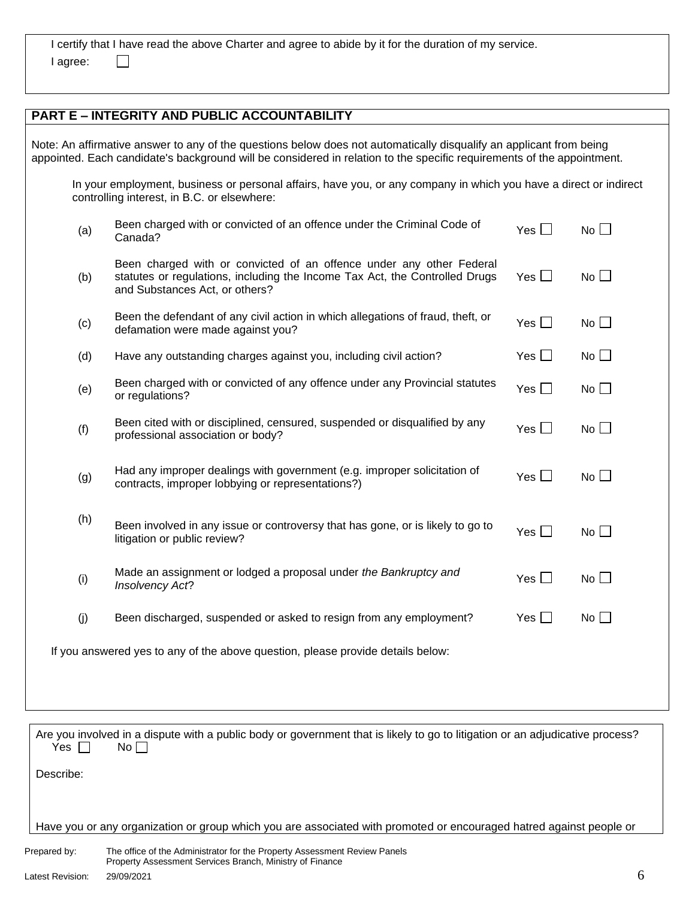| I certify that I have read the above Charter and agree to abide by it for the duration of my service. |  |
|-------------------------------------------------------------------------------------------------------|--|
| I agree:                                                                                              |  |

| <b>PART E - INTEGRITY AND PUBLIC ACCOUNTABILITY</b>                                                                                                                                                                                           |                                                                                                                                                                                       |               |              |
|-----------------------------------------------------------------------------------------------------------------------------------------------------------------------------------------------------------------------------------------------|---------------------------------------------------------------------------------------------------------------------------------------------------------------------------------------|---------------|--------------|
| Note: An affirmative answer to any of the questions below does not automatically disqualify an applicant from being<br>appointed. Each candidate's background will be considered in relation to the specific requirements of the appointment. |                                                                                                                                                                                       |               |              |
|                                                                                                                                                                                                                                               | In your employment, business or personal affairs, have you, or any company in which you have a direct or indirect<br>controlling interest, in B.C. or elsewhere:                      |               |              |
| (a)                                                                                                                                                                                                                                           | Been charged with or convicted of an offence under the Criminal Code of<br>Canada?                                                                                                    | Yes $\square$ | No           |
| (b)                                                                                                                                                                                                                                           | Been charged with or convicted of an offence under any other Federal<br>statutes or regulations, including the Income Tax Act, the Controlled Drugs<br>and Substances Act, or others? | Yes $\Box$    | $No$ $\Box$  |
| (c)                                                                                                                                                                                                                                           | Been the defendant of any civil action in which allegations of fraud, theft, or<br>defamation were made against you?                                                                  | Yes $\square$ | No $\square$ |
| (d)                                                                                                                                                                                                                                           | Have any outstanding charges against you, including civil action?                                                                                                                     | Yes $\Box$    | $No$ $\Box$  |
| (e)                                                                                                                                                                                                                                           | Been charged with or convicted of any offence under any Provincial statutes<br>or regulations?                                                                                        | Yes $\square$ | $No$ $\Box$  |
| (f)                                                                                                                                                                                                                                           | Been cited with or disciplined, censured, suspended or disqualified by any<br>professional association or body?                                                                       | Yes $\Box$    | No           |
| (g)                                                                                                                                                                                                                                           | Had any improper dealings with government (e.g. improper solicitation of<br>contracts, improper lobbying or representations?)                                                         | Yes $\Box$    | $No$ $\Box$  |
| (h)                                                                                                                                                                                                                                           | Been involved in any issue or controversy that has gone, or is likely to go to<br>litigation or public review?                                                                        | Yes $\Box$    | $No$ $\Box$  |
| (i)                                                                                                                                                                                                                                           | Made an assignment or lodged a proposal under the Bankruptcy and<br>Insolvency Act?                                                                                                   | Yes $\Box$    | $No$ $\Box$  |
| (j)                                                                                                                                                                                                                                           | Been discharged, suspended or asked to resign from any employment?                                                                                                                    | Yes $\square$ | $No \Box$    |
| If you answered yes to any of the above question, please provide details below:                                                                                                                                                               |                                                                                                                                                                                       |               |              |
|                                                                                                                                                                                                                                               |                                                                                                                                                                                       |               |              |
|                                                                                                                                                                                                                                               |                                                                                                                                                                                       |               |              |
| Yes $\Box$                                                                                                                                                                                                                                    | Are you involved in a dispute with a public body or government that is likely to go to litigation or an adjudicative process?<br>No                                                   |               |              |

Describe:

Have you or any organization or group which you are associated with promoted or encouraged hatred against people or

Prepared by: The office of the Administrator for the Property Assessment Review Panels Property Assessment Services Branch, Ministry of Finance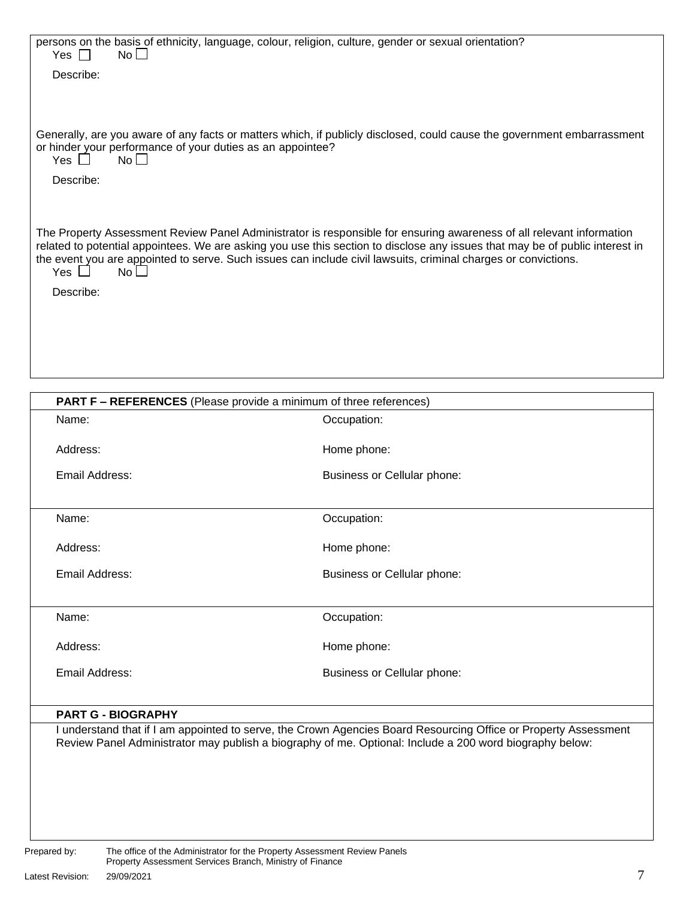| Describe:                                                                                   |                                                                                                                                                                                                                                                                                                                                                                        |  |  |  |  |
|---------------------------------------------------------------------------------------------|------------------------------------------------------------------------------------------------------------------------------------------------------------------------------------------------------------------------------------------------------------------------------------------------------------------------------------------------------------------------|--|--|--|--|
|                                                                                             |                                                                                                                                                                                                                                                                                                                                                                        |  |  |  |  |
| or hinder your performance of your duties as an appointee?<br>No <sub>1</sub><br>Yes $\Box$ | Generally, are you aware of any facts or matters which, if publicly disclosed, could cause the government embarrassment                                                                                                                                                                                                                                                |  |  |  |  |
| Describe:                                                                                   |                                                                                                                                                                                                                                                                                                                                                                        |  |  |  |  |
| No <sub>1</sub><br>Yes                                                                      | The Property Assessment Review Panel Administrator is responsible for ensuring awareness of all relevant information<br>related to potential appointees. We are asking you use this section to disclose any issues that may be of public interest in<br>the event you are appointed to serve. Such issues can include civil lawsuits, criminal charges or convictions. |  |  |  |  |
| Describe:                                                                                   |                                                                                                                                                                                                                                                                                                                                                                        |  |  |  |  |
|                                                                                             |                                                                                                                                                                                                                                                                                                                                                                        |  |  |  |  |
|                                                                                             |                                                                                                                                                                                                                                                                                                                                                                        |  |  |  |  |
|                                                                                             |                                                                                                                                                                                                                                                                                                                                                                        |  |  |  |  |
| PART F - REFERENCES (Please provide a minimum of three references)                          |                                                                                                                                                                                                                                                                                                                                                                        |  |  |  |  |
| Name:                                                                                       | Occupation:                                                                                                                                                                                                                                                                                                                                                            |  |  |  |  |
| Address:                                                                                    | Home phone:                                                                                                                                                                                                                                                                                                                                                            |  |  |  |  |
| Email Address:                                                                              | <b>Business or Cellular phone:</b>                                                                                                                                                                                                                                                                                                                                     |  |  |  |  |
| Name:                                                                                       | Occupation:                                                                                                                                                                                                                                                                                                                                                            |  |  |  |  |
| Address:                                                                                    | Home phone:                                                                                                                                                                                                                                                                                                                                                            |  |  |  |  |
| Email Address:                                                                              | Business or Cellular phone:                                                                                                                                                                                                                                                                                                                                            |  |  |  |  |
| Name:                                                                                       | Occupation:                                                                                                                                                                                                                                                                                                                                                            |  |  |  |  |
| Address:                                                                                    | Home phone:                                                                                                                                                                                                                                                                                                                                                            |  |  |  |  |
| Email Address:                                                                              | <b>Business or Cellular phone:</b>                                                                                                                                                                                                                                                                                                                                     |  |  |  |  |
| <b>PART G - BIOGRAPHY</b>                                                                   |                                                                                                                                                                                                                                                                                                                                                                        |  |  |  |  |
|                                                                                             | I understand that if I am appointed to serve, the Crown Agencies Board Resourcing Office or Property Assessment<br>Review Panel Administrator may publish a biography of me. Optional: Include a 200 word biography below:                                                                                                                                             |  |  |  |  |
|                                                                                             |                                                                                                                                                                                                                                                                                                                                                                        |  |  |  |  |
| Prepared by:<br>Property Assessment Services Branch, Ministry of Finance                    | The office of the Administrator for the Property Assessment Review Panels                                                                                                                                                                                                                                                                                              |  |  |  |  |
| Latest Revision:<br>29/09/2021                                                              | 7                                                                                                                                                                                                                                                                                                                                                                      |  |  |  |  |

persons on the basis of ethnicity, language, colour, religion, culture, gender or sexual orientation?

Yes □ No